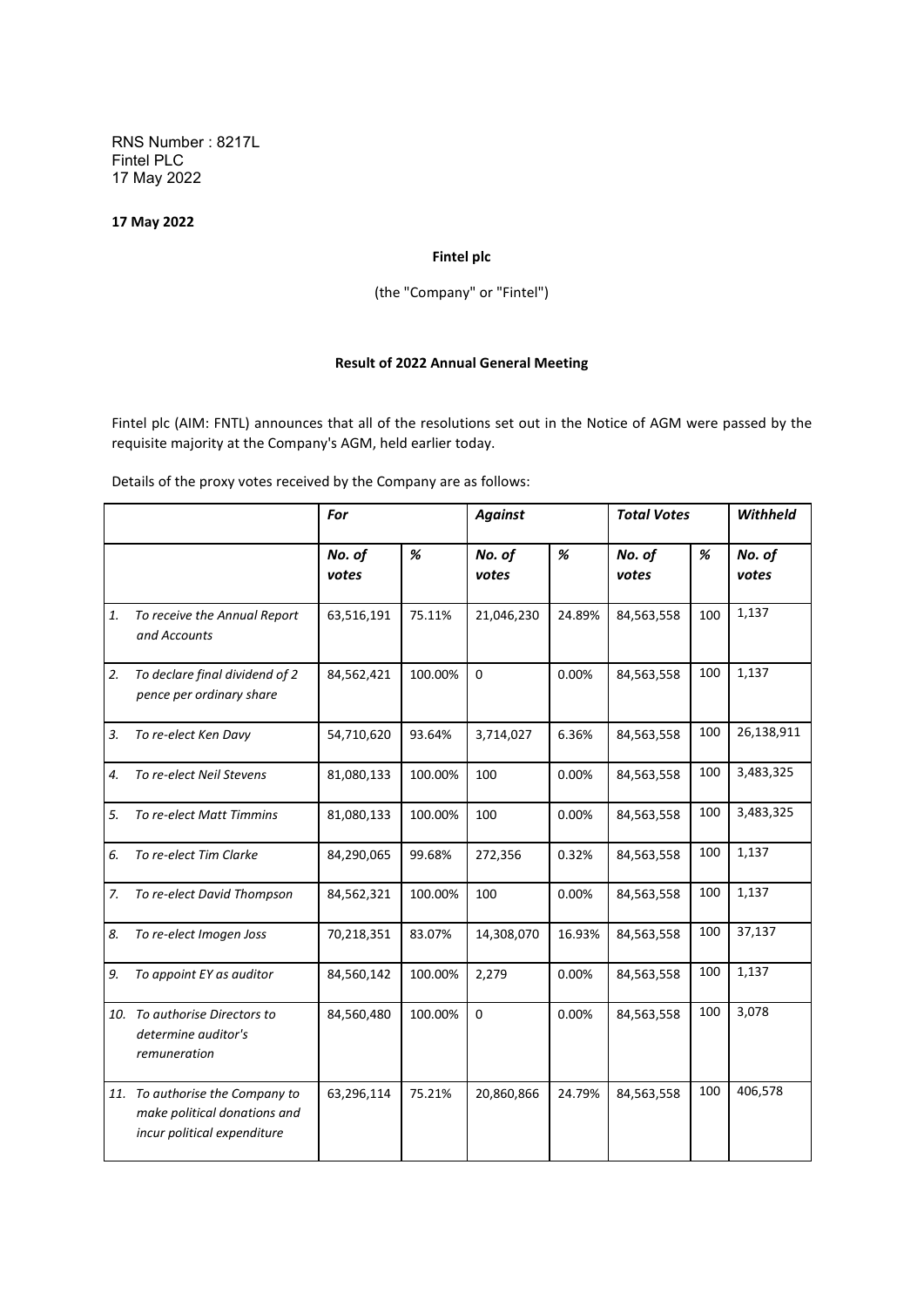RNS Number : 8217L Fintel PLC 17 May 2022

## **17 May 2022**

## **Fintel plc**

(the "Company" or "Fintel")

## **Result of 2022 Annual General Meeting**

Fintel plc (AIM: FNTL) announces that all of the resolutions set out in the Notice of AGM were passed by the requisite majority at the Company's AGM, held earlier today.

Details of the proxy votes received by the Company are as follows:

|    |                                                                                                | For             |         | <b>Against</b>  |        | <b>Total Votes</b> |     | <b>Withheld</b> |
|----|------------------------------------------------------------------------------------------------|-----------------|---------|-----------------|--------|--------------------|-----|-----------------|
|    |                                                                                                | No. of<br>votes | %       | No. of<br>votes | %      | No. of<br>votes    | %   | No. of<br>votes |
| 1. | To receive the Annual Report<br>and Accounts                                                   | 63,516,191      | 75.11%  | 21,046,230      | 24.89% | 84,563,558         | 100 | 1,137           |
| 2. | To declare final dividend of 2<br>pence per ordinary share                                     | 84,562,421      | 100.00% | $\Omega$        | 0.00%  | 84,563,558         | 100 | 1,137           |
| 3. | To re-elect Ken Davy                                                                           | 54,710,620      | 93.64%  | 3,714,027       | 6.36%  | 84,563,558         | 100 | 26,138,911      |
| 4. | To re-elect Neil Stevens                                                                       | 81,080,133      | 100.00% | 100             | 0.00%  | 84,563,558         | 100 | 3,483,325       |
| 5. | To re-elect Matt Timmins                                                                       | 81,080,133      | 100.00% | 100             | 0.00%  | 84,563,558         | 100 | 3,483,325       |
| 6. | To re-elect Tim Clarke                                                                         | 84,290,065      | 99.68%  | 272,356         | 0.32%  | 84,563,558         | 100 | 1,137           |
| 7. | To re-elect David Thompson                                                                     | 84,562,321      | 100.00% | 100             | 0.00%  | 84,563,558         | 100 | 1,137           |
| 8. | To re-elect Imogen Joss                                                                        | 70,218,351      | 83.07%  | 14,308,070      | 16.93% | 84,563,558         | 100 | 37,137          |
| 9. | To appoint EY as auditor                                                                       | 84,560,142      | 100.00% | 2,279           | 0.00%  | 84,563,558         | 100 | 1,137           |
|    | 10. To authorise Directors to<br>determine auditor's<br>remuneration                           | 84,560,480      | 100.00% | $\mathbf 0$     | 0.00%  | 84,563,558         | 100 | 3,078           |
|    | 11. To authorise the Company to<br>make political donations and<br>incur political expenditure | 63,296,114      | 75.21%  | 20,860,866      | 24.79% | 84,563,558         | 100 | 406,578         |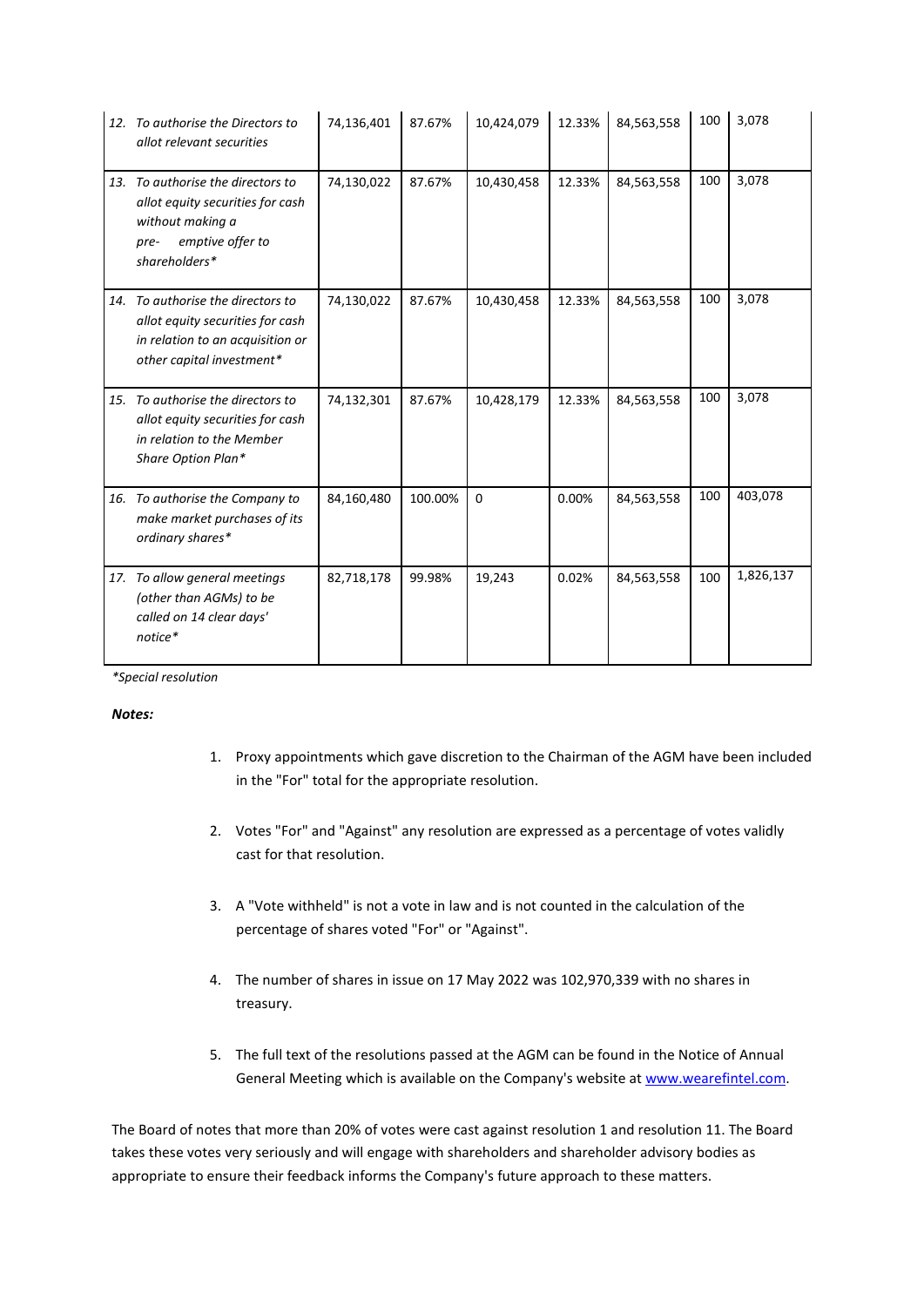|     | 12. To authorise the Directors to<br>allot relevant securities                                                                         | 74,136,401 | 87.67%  | 10,424,079 | 12.33% | 84,563,558 | 100 | 3,078     |
|-----|----------------------------------------------------------------------------------------------------------------------------------------|------------|---------|------------|--------|------------|-----|-----------|
|     | 13. To authorise the directors to<br>allot equity securities for cash<br>without making a<br>emptive offer to<br>pre-<br>shareholders* | 74,130,022 | 87.67%  | 10,430,458 | 12.33% | 84,563,558 | 100 | 3,078     |
|     | 14. To authorise the directors to<br>allot equity securities for cash<br>in relation to an acquisition or<br>other capital investment* | 74,130,022 | 87.67%  | 10,430,458 | 12.33% | 84,563,558 | 100 | 3,078     |
|     | 15. To authorise the directors to<br>allot equity securities for cash<br>in relation to the Member<br>Share Option Plan*               | 74,132,301 | 87.67%  | 10,428,179 | 12.33% | 84,563,558 | 100 | 3,078     |
| 16. | To authorise the Company to<br>make market purchases of its<br>ordinary shares*                                                        | 84,160,480 | 100.00% | $\Omega$   | 0.00%  | 84,563,558 | 100 | 403,078   |
| 17. | To allow general meetings<br>(other than AGMs) to be<br>called on 14 clear days'<br>notice*                                            | 82,718,178 | 99.98%  | 19,243     | 0.02%  | 84,563,558 | 100 | 1,826,137 |

*\*Special resolution*

## *Notes:*

- 1. Proxy appointments which gave discretion to the Chairman of the AGM have been included in the "For" total for the appropriate resolution.
- 2. Votes "For" and "Against" any resolution are expressed as a percentage of votes validly cast for that resolution.
- 3. A "Vote withheld" is not a vote in law and is not counted in the calculation of the percentage of shares voted "For" or "Against".
- 4. The number of shares in issue on 17 May 2022 was 102,970,339 with no shares in treasury.
- 5. The full text of the resolutions passed at the AGM can be found in the Notice of Annual General Meeting which is available on the Company's website at [www.wearefintel.com.](http://www.wearefintel.com/)

The Board of notes that more than 20% of votes were cast against resolution 1 and resolution 11. The Board takes these votes very seriously and will engage with shareholders and shareholder advisory bodies as appropriate to ensure their feedback informs the Company's future approach to these matters.